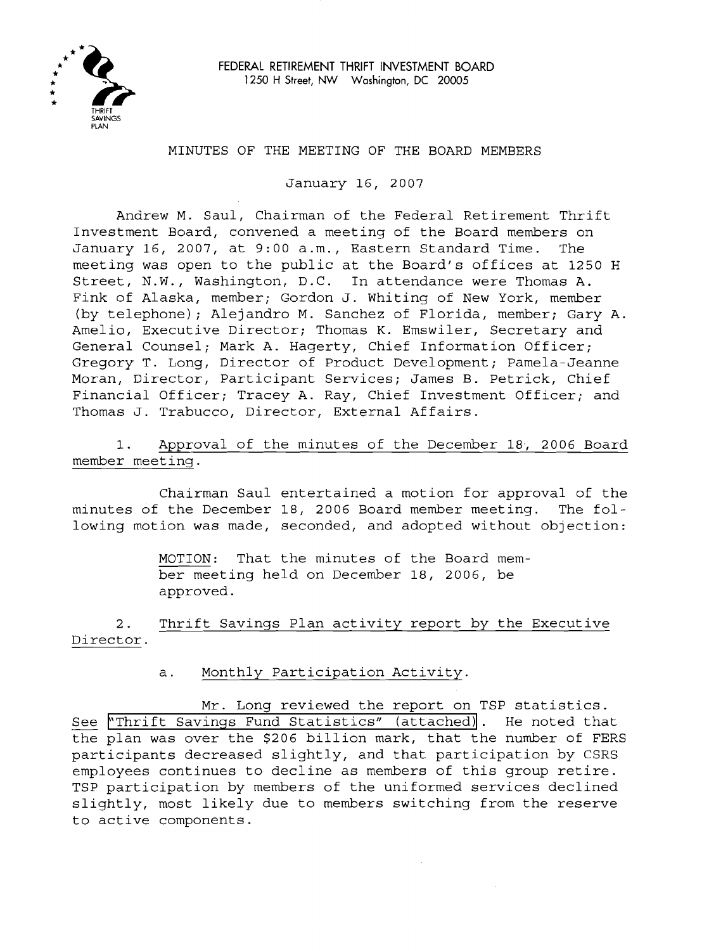

# MINUTES OF THE MEETING OF THE BOARD MEMBERS

January 16, 2007

Andrew M. Saul, Chairman of the Federal Retirement Thrift Investment Board, convened a meeting of the Board members on January 16, 2007, at 9:00 a.m., Eastern Standard Time. The meeting was open to the public at the Board's offices at 1250 H Street, N.W., Washington, D.C. In attendance were Thomas A. Fink of Alaska, member; Gordon J. Whiting of New York, member (by telephone); Alejandro M. Sanchez of Florida, member; Gary A. Amelio, Executive Director; Thomas K. Emswiler, Secretary and General Counsel; Mark A. Hagerty, Chief Information Officer; Gregory T. Long, Director of Product Development; Pamela-Jeanne Moran, Director, Participant Services; James B. Petrick, Chief Financial Officer; Tracey A. Ray, Chief Investment Officer; and Thomas J. Trabucco, Director, External Affairs.

1. Approval of the minutes of the December 18, 2006 Board member meeting.

Chairman Saul entertained a motion for approval of the minutes of the December 18, 2006 Board member meeting. The following motion was made, seconded, and adopted without objection:

> MOTION: That the minutes of the Board member meeting held on December 18, 2006, be approved.

2. Thrift Savings Plan activity report by the Executive Director.

a. Monthly Participation Activity.

Mr. Long reviewed the report on TSP statistics. See "Th<br>the pla See ["Thrift Savings Fund Statistics" \(attached\)](http://www.frtib.gov/pdf/minutes/MM-2007Jan-Att1(Stats).pdf). He noted that the plan was over the \$206 billion mark, that the number of FERS participants decreased slightly, and that participation by CSRS employees continues to decline as members of this group retire. TSP participation by members of the uniformed services declined slightly, most likely due to members switching from the reserve to active components.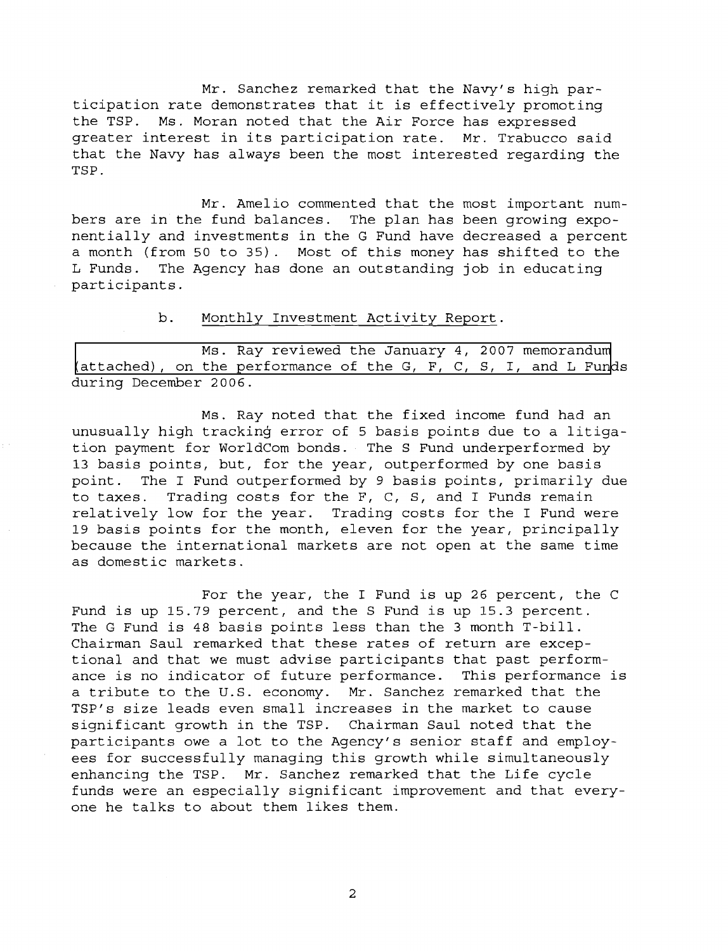Mr. Sanchez remarked that the Navy's high participation rate demonstrates that it is effectively promoting the TSP. Ms. Moran noted that the Air Force has expressed greater interest in its participation rate. Mr. Trabucco said that the Navy has always been the most interested regarding the TSP.

Mr. Amelio commented that the most important numbers are in the fund balances. The plan has been growing exponentially and investments in the G Fund have decreased a percent a month (from 50 to 35). Most of this money has shifted to the L Funds. The Agency has done an outstanding job in educating participants.

#### $b$ . Monthly Investment Activity Report.

Ms. Ray reviewed the January 4, 2007 memorandum (attached), on the performance of the G, F, C, S, I, and L Funds during December 2006.

Ms. Ray noted that the fixed income fund had an unusually high tracking error of 5 basis points due to a litigation payment for WorldCom bonds. The S Fund underperformed by **13** basis points, but, for the year, outperformed by one basis point. The I Fund outperformed by 9 basis points, primarily due to taxes. Trading costs for the F, C, S, and I Funds remain relatively low for the year. Trading costs for the I Fund were 19 basis points for the month, eleven for the year, principally because the international markets are not open at the same time as domestic markets.

For the year, the I Fund is up 26 percent, the C Fund is up 15.79 percent, and the S Fund is up 15.3 percent. The G Fund is 48 basis points less than the 3 month T-bill. Chairman Saul remarked that these rates of return are exceptional and that we must advise participants that past performance is no indicator of future performance. This performance is<br>a tribute to the U.S. economy. Mr. Sanchez remarked that the a tribute to the U.S. economy. TSP1s size leads even small increases in the market to cause significant growth in the TSP. Chairman Saul noted that the participants owe a lot to the Agency's senior staff and employees for successfully managing this growth while simultaneously enhancing the TSP. Mr. Sanchez remarked that the Life cycle funds were an especially significant improvement and that everyone he talks to about them likes them.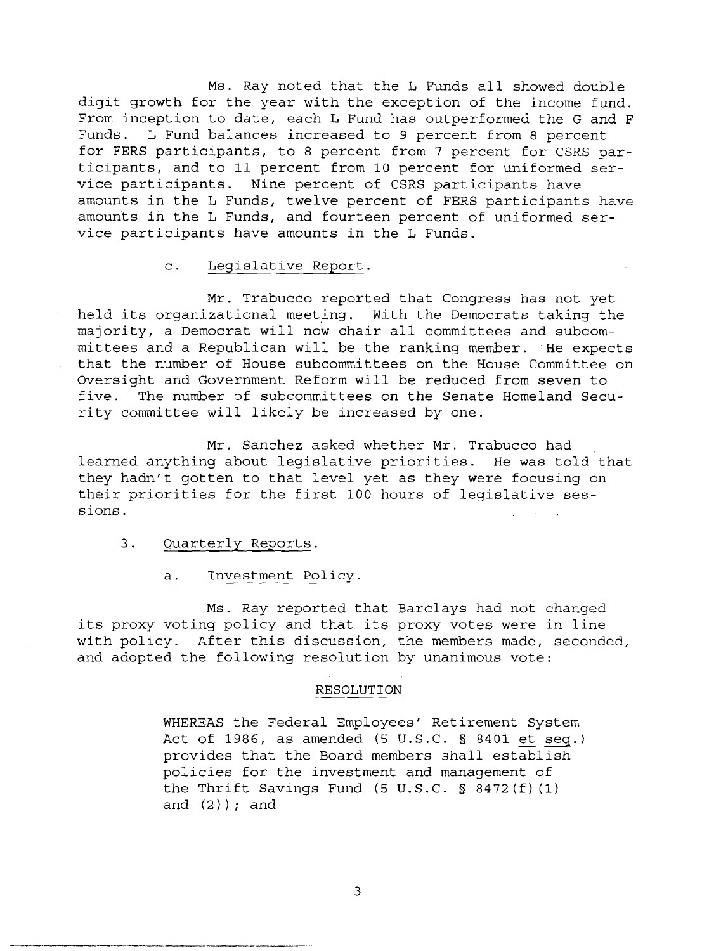Ms. Ray noted that the L Funds all showed double digit growth for the year with the exception of the income fund. From inception to date, each L Fund has outperformed the G and F Funds. L Fund balances increased to 9 percent from 8 percent for FERS participants, to 8 percent from 7 percent for CSRS participants, and to 11 percent from 10 percent for uniformed service participants. Nine percent of CSRS participants have amounts in the L Funds, twelve percent of FERS participants have amounts in the L Funds, and fourteen percent of uniformed service participants have amounts in the L Funds.

### c. Legislative Report.

Mr. Trabucco reported that Congress has not yet held its organizational meeting. With the Democrats taking the majority, a Democrat will now chair all committees and subcommittees and a Republican will be the ranking member. He expects that the number of House subcommittees on the House Committee on Oversight and Government Reform will be reduced from seven to five. The number of subcommittees on the Senate Homeland Security committee will likely be increased by one.

Mr. Sanchez asked whether Mr. Trabucco had learned anything about legislative priorities. He was told that they hadn't gotten to that level yet as they were focusing on their priorities for the first 100 hours of legislative sessions.

### 3. Quarterly Reports.

### a. Investment Policy.

Ms. Ray reported that Barclays had not changed its proxy voting policy and that its proxy votes were in line with policy. After this discussion, the members made, seconded, and adopted the following resolution by unanimous vote:

### RESOLUTION

WHEREAS the Federal Employees' Retirement System Act of 1986, as amended (5 U.S.C. § 8401 et seq.) provides that the Board members shall establish policies for the investment and management of the Thrift Savings Fund (5 U.S.C. § 8472 (f) (1) and  $(2)$  ) ; and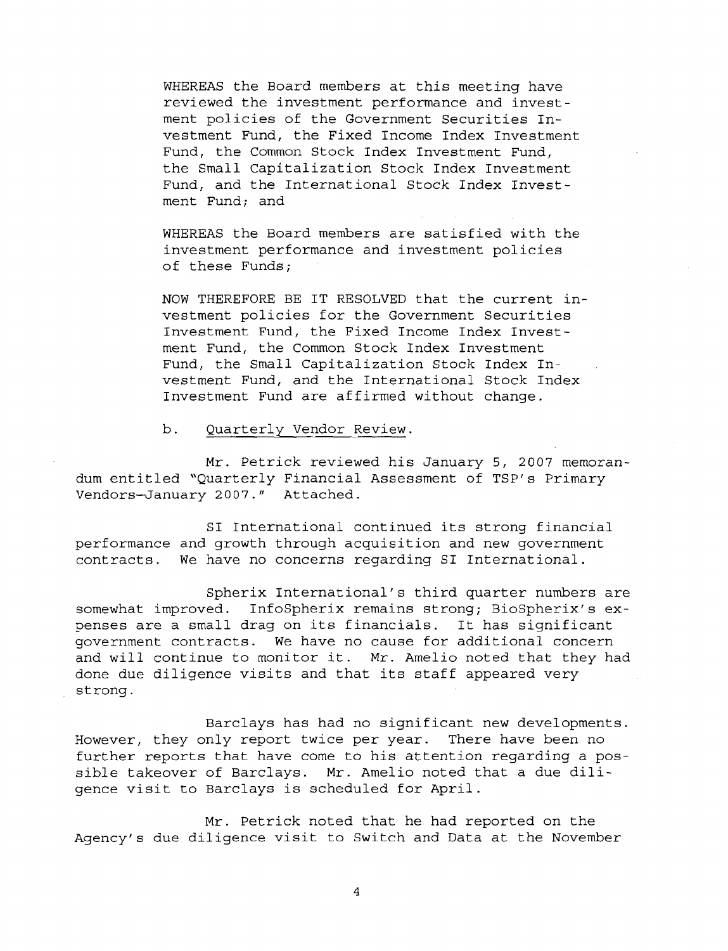WHEREAS the Board members at this meeting have reviewed the investment performance and investment policies of the Government Securities Investment Fund, the Fixed Income Index Investment Fund, the Common Stock Index Investment Fund, the Small Capitalization Stock Index Investment Fund, and the International Stock Index Investment Fund; and

WHEREAS the Board members are satisfied with the investment performance and investment policies of these Funds;

NOW THEREFORE BE IT RESOLVED that the current investment policies for the Government securities Investment Fund, the Fixed Income Index Investment Fund, the Common Stock Index Investment Fund, the Small Capitalization Stock Index Investment Fund, and the International Stock Index Investment Fund are affirmed without change.

b. Ouarterlv Vendor Review.

dum entitled "Quarterly Financial Assessment of TSP' s Primary Vendors-January 2007." Attached. Mr. Petrick reviewed his January 5, 2007 memoran-

SI International continued its strong financial performance and growth through acquisition and new government contracts. We have no concerns regarding SI International.

Spherix International's third quarter numbers are somewhat improved. InfoSpherix remains strong; BioSpherix's expenses are a small drag on its financials. It has significant government contracts. We have no cause for additional concern and will continue to monitor it. Mr. Amelio noted that they had done due diligence visits and that its staff appeared very strong .

Barclays has had no significant new developments. However, they only report twice per year. There have been no further reports that have come to his attention regarding a possible takeover of Barclays. Mr. Amelio noted that a due diligence visit to Barclays is scheduled for April.

Mr. Petrick noted that he had reported on the Agency's due diligence visit to Switch and Data at the November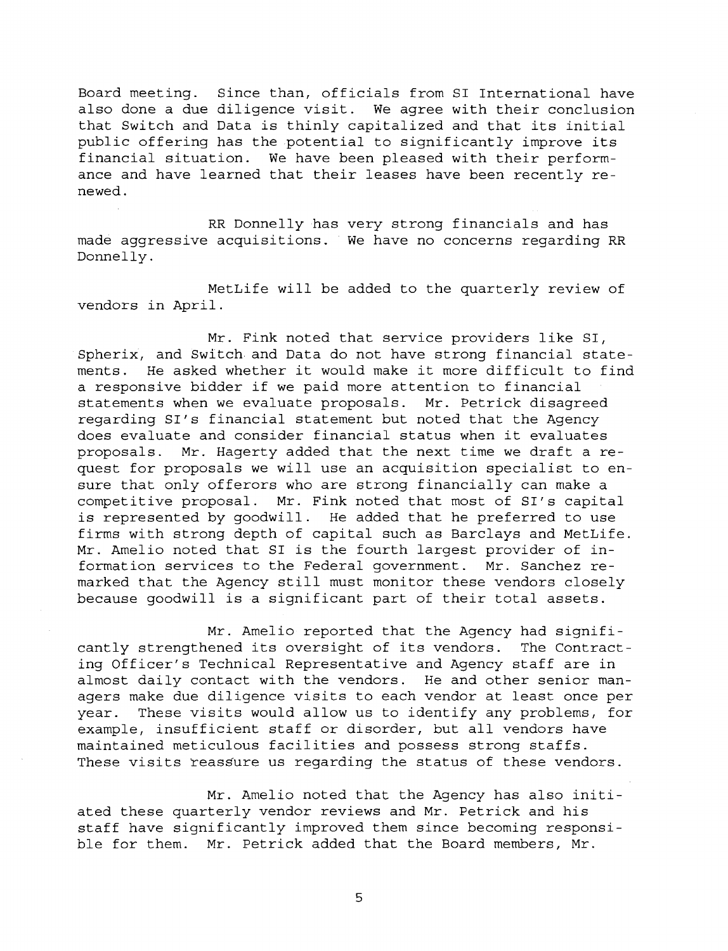Board meeting. Since than, officials from SI International have also done a due diligence visit. We agree with their conclusion that Switch and Data is thinly capitalized and that its initial public offering has the potential to significantly improve its financial situation. We have been pleased with their performance and have learned that their leases have been recently renewed.

RR Donnelly has very strong financials and has made aggressive acquisitions. We have no concerns regarding RR Donnelly .

MetLife will be added to the quarterly review of vendors in April.

Mr. Fink noted that service providers like SI, Spherix, and Switch and Data do not have strong financial statements. He asked whether it would make it more difficult to find a responsive bidder if we paid more attention to financial statements when we evaluate proposals. Mr. Petrick disagreed regarding SI's financial statement but noted that the Agency does evaluate and consider financial status when it evaluates proposals. Mr. Hagerty added that the next time we draft a request for proposals we will use an acquisition specialist to ensure that only offerors who are strong financially can make a competitive proposal. Mr. Fink noted that most of SI's capital is represented by goodwill. He added that he preferred to use firms with strong depth of capital such as Barclays and MetLife. Mr. Amelio noted that SI is the fourth largest provider of information services to the Federal government. Mr. Sanchez remarked that the Agency still must monitor these vendors closely because goodwill is a significant part of their total assets.

Mr. Amelio reported that the Agency had significantly strengthened its oversight of its vendors. The Contracting Officer's Technical Representative and Agency staff are in almost daily contact with the vendors. He and other senior managers make due diligence visits to each vendor at least once per year. These visits would allow us to identify any problems, for example, insufficient staff or disorder, but all vendors have maintained meticulous facilities and possess strong staffs. These visits reassure us regarding the status of these vendors.

Mr. Amelio noted that the Agency has also initiated these quarterly vendor reviews and Mr. Petrick and his staff have significantly improved them since becoming responsible for them. Mr. Petrick added that the Board members, Mr.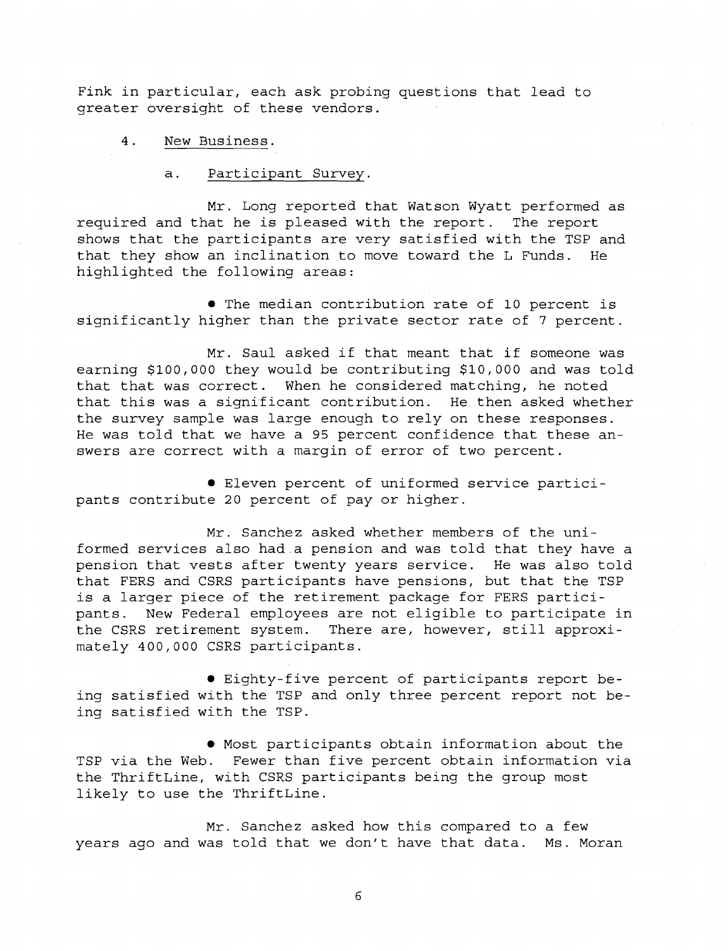Fink in particular, each ask probing questions that lead to greater oversight of these vendors.

# 4. New Business.

# a. Participant Survey.

Mr. Long reported that Watson Wyatt performed as required and that he is pleased with the report. The report shows that the participants are very satisfied with the TSP and that they show an inclination to move toward the L Funds. He highlighted the following areas:

The median contribution rate of 10 percent is significantly higher than the private sector rate of 7 percent.

Mr. Saul asked if that meant that if someone was earning \$100,000 they would be contributing \$10,000 and was told that that was correct. When he considered matching, he noted that this was a significant contribution. He then asked whether the survey sample was large enough to rely on these responses. He was told that we have a 95 percent confidence that these answers are correct with a margin of error of two percent.

Eleven percent of uniformed service participants contribute 20 percent of pay or higher.

Mr. Sanchez asked whether members of the uniformed services also had a pension and was told that they have a pension that vests after twenty years service. He was also told that FERS and CSRS participants have pensions, but that the TSP is a larger piece of the retirement package for FERS participants. New Federal employees are not eligible to participate in the CSRS retirement system. There are, however, still approximately 400,000 CSRS participants.

Eighty-five percent of participants report being satisfied with the TSP and only three percent report not being satisfied with the TSP.

Most participants obtain information about the TSP via the Web. Fewer than five percent obtain information via the ThriftLine, with CSRS participants being the group most likely to use the ThriftLine.

Mr. Sanchez asked how this compared to a few years ago and was told that we don't have that data. Ms. Moran

 $\overline{6}$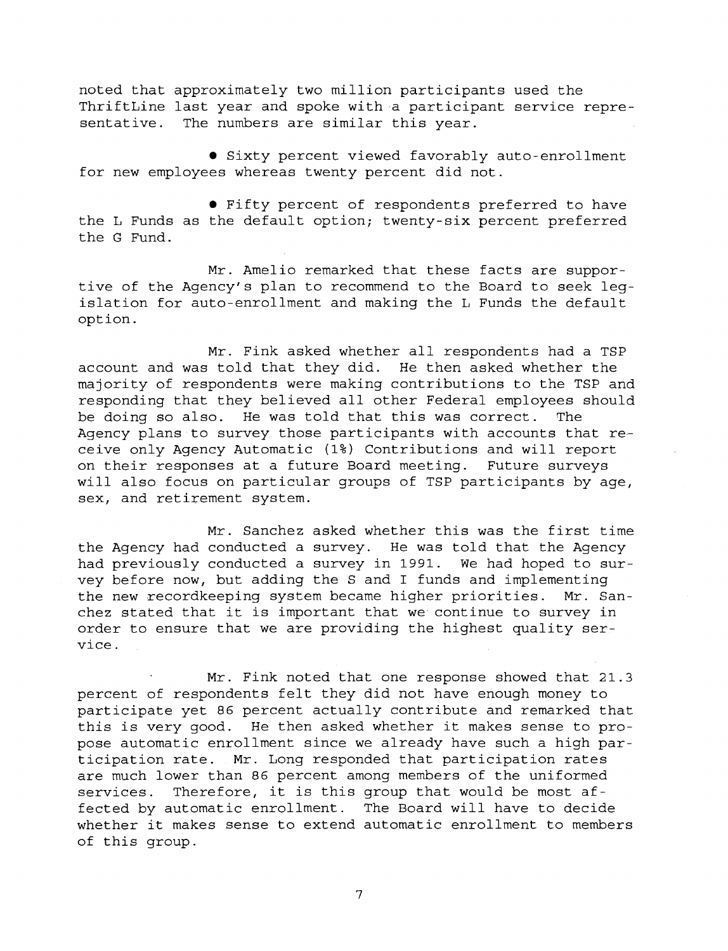noted that approximately two million participants used the ThriftLine last year and spoke with a participant service representative. The numbers are similar this year.

**• Sixty percent viewed favorably auto-enrollment** for new employees whereas twenty percent did not.

Fifty percent of respondents preferred to have the L Funds as the default option; twenty-six percent preferred the G Fund.

Mr. Amelio remarked that these facts are supportive of the Agency's plan to recommend to the Board to seek legislation for auto-enrollment and making the L Funds the default option.

Mr. Fink asked whether all respondents had a TSP account and was told that they did. He then asked whether the majority of respondents were making contributions to the TSP and responding that they believed all other Federal employees should be doing so also. He was told that this was correct. The Agency plans to survey those participants with accounts that receive only Agency Automatic **(1%)** Contributions and will report on their responses at a future Board meeting. Future surveys will also focus on particular groups of TSP participants by age, sex, and retirement system.

Mr. Sanchez asked whether this was the first time the Agency had conducted a survey. He was told that the Agency had previously conducted a survey in **1991.** We had hoped to survey before now, but adding the S and I funds and implementing the new recordkeeping system became higher priorities. Mr. Sanchez stated that it is important that we continue to survey in order to ensure that we are providing the highest quality service.

Mr. Fink noted that one response showed that **21.3**  percent of respondents felt they did not have enough money to participate yet 86 percent actually contribute and remarked that this is very good. He then asked whether it makes sense to propose automatic enrollment since we already have such a high participation rate. Mr. Long responded that participation rates are much lower than 86 percent among members of the uniformed services. Therefore, it is this group that would be most affected by automatic enrollment. The Board will have to decide whether it makes sense to extend automatic enrollment to members of this group.

 $\overline{7}$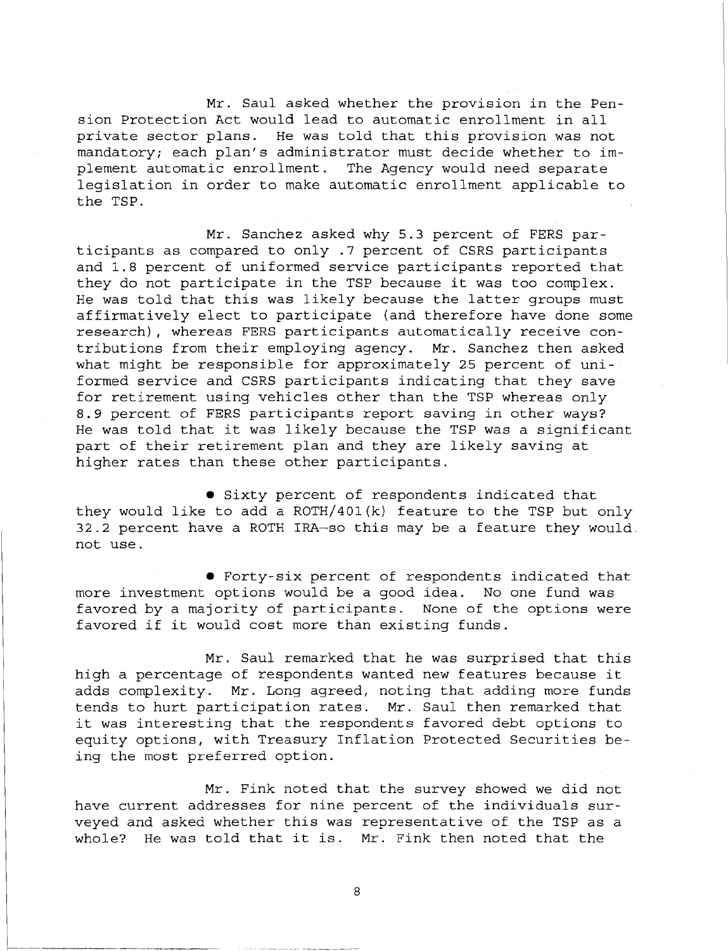Mr. Saul asked whether the provision in the Pension Protection Act would lead to automatic enrollment in all private sector plans. He was told that this provision was not mandatory; each plan's administrator must decide whether to implement automatic enrollment. The Agency would need separate legislation in order to make automatic enrollment applicable to the TSP.

Mr. Sanchez asked why 5.3 percent of FERS participants as compared to only .7 percent of CSRS participants and 1.8 percent of uniformed service participants reported that they do not participate in the TSP because it was too complex. He was told that this was likely because the latter groups must affirmatively elect to participate (and therefore have done some research), whereas FERS participants automatically receive contributions from their employing agency. Mr. Sanchez then asked what might be responsible for approximately 25 percent of uniformed service and CSRS participants indicating that they save for retirement using vehicles other than the TSP whereas only 8.9 percent of FERS participants report saving in other ways? He was told that it was likely because the TSP was a significant part of their retirement plan and they are likely saving at higher rates than these other participants.

**• Sixty percent of respondents indicated that** they would like to add a ROTH/401(k) feature to the TSP but only 32.2 percent have a ROTH IRA-so this may be a feature they would. not use.

Forty-six percent of respondents indicated that more investment options would be a good idea. No one fund was favored by a majority of participants. None of the options were favored if it would cost more than existing funds.

Mr. Saul remarked that he was surprised that this high a percentage of respondents wanted new features because it adds complexity. Mr. Long agreed, noting that adding more funds tends to hurt participation rates. Mr. Saul then remarked that it was interesting that the respondents favored debt options to equity options, with Treasury Inflation Protected Securities being the most preferred option.

Mr. Fink noted that the survey showed we did not have current addresses for nine percent of the individuals surveyed and asked whether this was representative of the TSP as a whole? He was told that it is. Mr. Fink then noted that the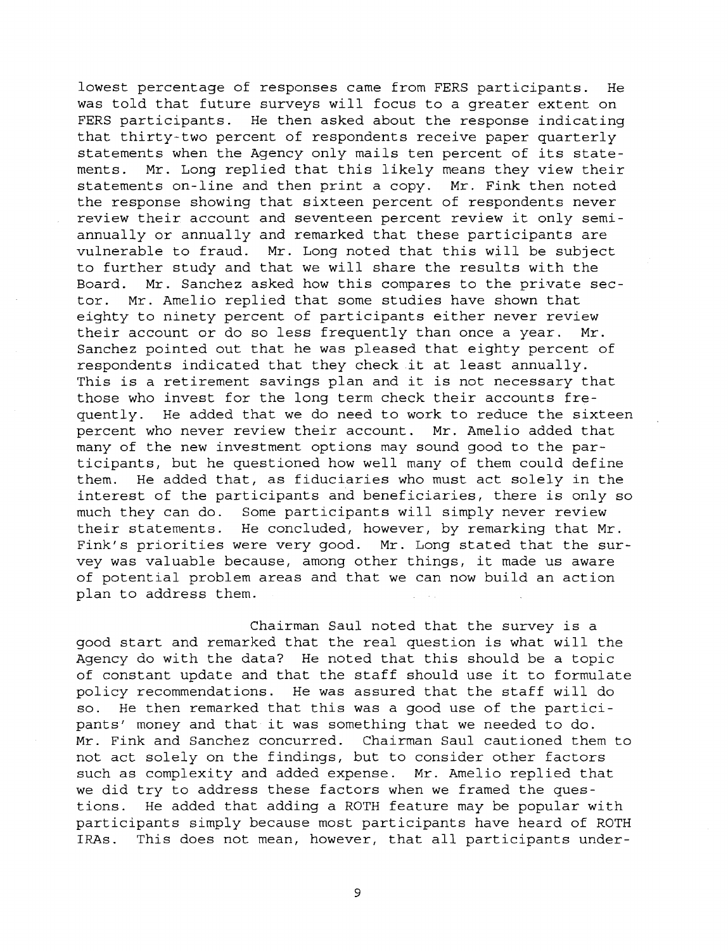lowest percentage of responses came from FERS participants. He was told that future surveys will focus to a greater extent on FERS participants. He then asked about the response indicating that thirty-two percent of respondents receive paper quarterly statements when the Agency only mails ten percent of its statements. Mr. Long replied that this likely means they view their statements on-line and then print a copy. Mr. Fink then noted the response showing that sixteen percent of respondents never review their account and seventeen percent review it only semiannually or annually and remarked that these participants are vulnerable to fraud. Mr. Long noted that this will be subject to further study and that we will share the results with the Board. Mr. Sanchez asked how this eompares to the private sector. Mr. Amelio replied that some studies have shown that eighty to ninety percent of participants either never review their account or do so less frequently than once a year. Mr. Sanchez pointed out that he was pleased that eighty percent of respondents indicated that they check it at least annually. This is a retirement savings plan and it is not necessary that those who invest for the long term check their accounts frequently. He added that we do need to work to reduce the sixteen percent who never review their account. Mr. Amelio added that many of the new investment options may sound good to the participants, but he questioned how well many of them could define them. He added that, as fiduciaries who must act solely in the interest of the participants and beneficiaries, there is only so much they can do. Some participants will simply never review their statements. He concluded, however, by remarking that Mr. Fink's priorities were very good. Mr. Long stated that the survey was valuable because, among other things, it made us aware of potential problem areas and that we can now build an action plan to address them.

Chairman Saul noted that the survey is a good start and remarked that the real question is what will the Agency do with the data? He noted that this should be a topic of constant update and that the staff should use it to formulate policy recommendations. He was assured that the staff will do so. He then remarked that this was a good use of the participants' money and that it was something that we needed to do. Mr. Fink and Sanchez concurred. Chairman Saul cautioned them to not act solely on the findings, but to consider other factors such as complexity and added expense. Mr. Amelio replied that we did try to address these factors when we framed the questions. He added that adding a ROTH feature may be popular with participants simply because most participants have heard of ROTH IRAs. This does not mean, however, that all participants under-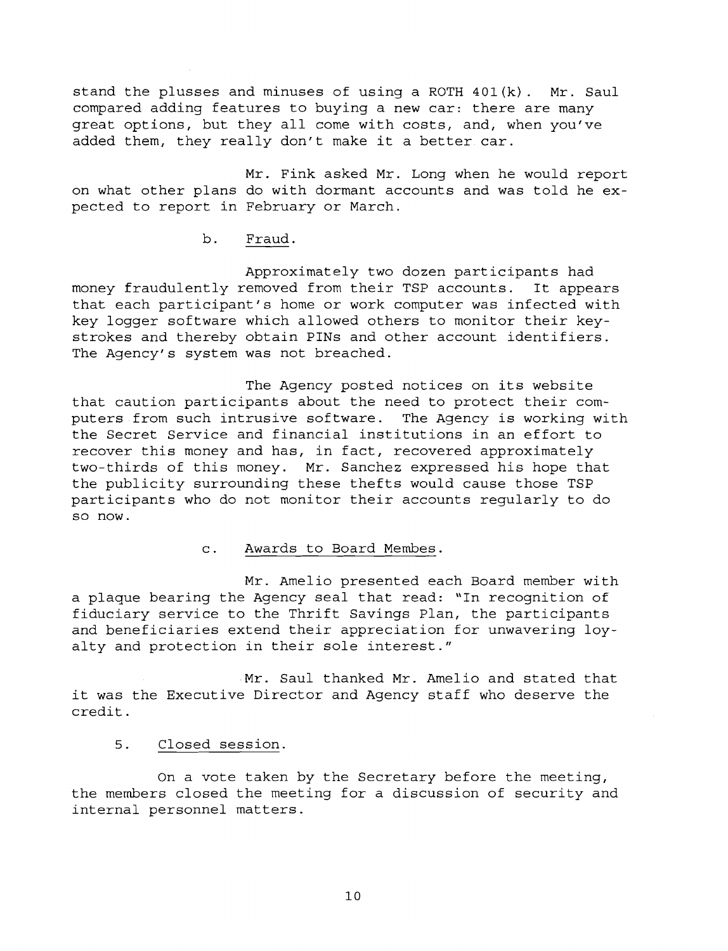stand the plusses and minuses of using a ROTH 401(k). Mr. Saul compared adding features to buying a new car: there are many great options, but they all come with costs, and, when you've added them, they really don't make it a better car.

Mr. Fink asked Mr. Long when he would report on what other plans do with dormant accounts and was told he expected to report in February or March.

b. Fraud.

Approximately two dozen participants had money fraudulently removed from their TSP accounts. It appears that each participant's home or work computer was infected with key logger software which allowed others to monitor their keystrokes and thereby obtain PINS and other account identifiers. The Agency's system was not breached.

The Agency posted notices on its website that caution participants about the need to protect their computers from such intrusive software. The Agency is working with the Secret Service and financial institutions in an effort to recover this money and has, in fact, recovered approximately two-thirds of this money. Mr. Sanchez expressed his hope that the publicity surrounding these thefts would cause those TSP participants who do not monitor their accounts regularly to do SO now.

### c. Awards to Board Membes.

Mr. Amelio presented each Board member with a plaque bearing the Agency seal that read: "In recognition of fiduciary service to the Thrift Savings Plan, the participants and beneficiaries extend their appreciation for unwavering loyalty and protection in their sole interest."

Mr. Saul thanked Mr. Amelio and stated that it was the Executive Director and Agency staff who deserve the credit.

# 5. Closed session.

On a vote taken by the Secretary before the meeting, the members closed the meeting for a discussion of security and internal personnel matters.